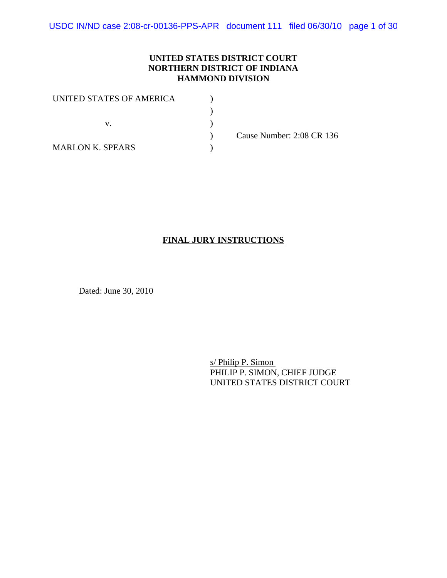### **UNITED STATES DISTRICT COURT NORTHERN DISTRICT OF INDIANA HAMMOND DIVISION**

| UNITED STATES OF AMERICA |                           |
|--------------------------|---------------------------|
|                          |                           |
|                          |                           |
|                          | Cause Number: 2:08 CR 136 |
| <b>MARLON K. SPEARS</b>  |                           |

## **FINAL JURY INSTRUCTIONS**

Dated: June 30, 2010

s/ Philip P. Simon PHILIP P. SIMON, CHIEF JUDGE UNITED STATES DISTRICT COURT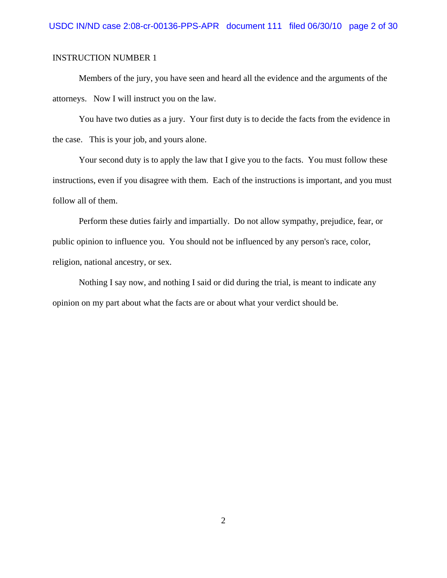Members of the jury, you have seen and heard all the evidence and the arguments of the attorneys. Now I will instruct you on the law.

You have two duties as a jury. Your first duty is to decide the facts from the evidence in the case. This is your job, and yours alone.

Your second duty is to apply the law that I give you to the facts. You must follow these instructions, even if you disagree with them. Each of the instructions is important, and you must follow all of them.

Perform these duties fairly and impartially. Do not allow sympathy, prejudice, fear, or public opinion to influence you. You should not be influenced by any person's race, color, religion, national ancestry, or sex.

Nothing I say now, and nothing I said or did during the trial, is meant to indicate any opinion on my part about what the facts are or about what your verdict should be.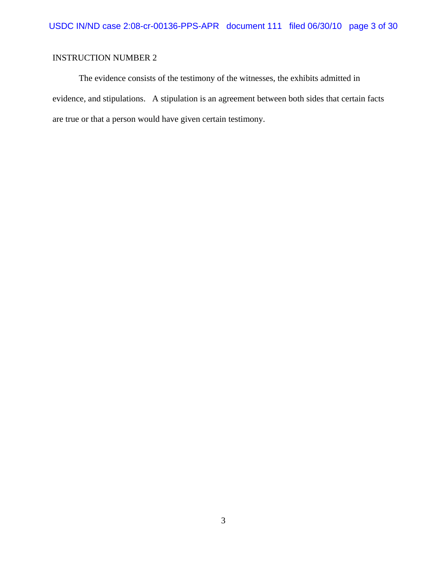The evidence consists of the testimony of the witnesses, the exhibits admitted in evidence, and stipulations. A stipulation is an agreement between both sides that certain facts are true or that a person would have given certain testimony.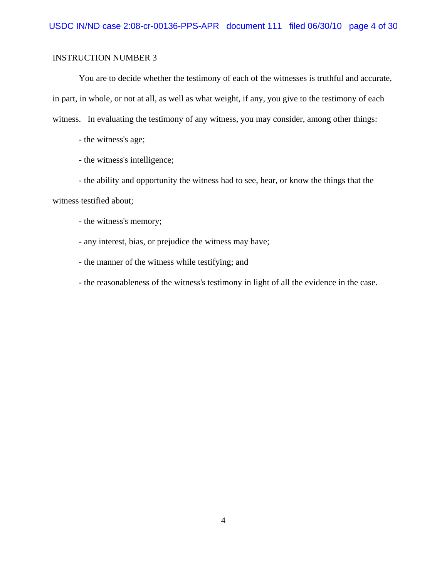You are to decide whether the testimony of each of the witnesses is truthful and accurate, in part, in whole, or not at all, as well as what weight, if any, you give to the testimony of each witness. In evaluating the testimony of any witness, you may consider, among other things:

- the witness's age;

- the witness's intelligence;

- the ability and opportunity the witness had to see, hear, or know the things that the witness testified about;

- the witness's memory;
- any interest, bias, or prejudice the witness may have;
- the manner of the witness while testifying; and
- the reasonableness of the witness's testimony in light of all the evidence in the case.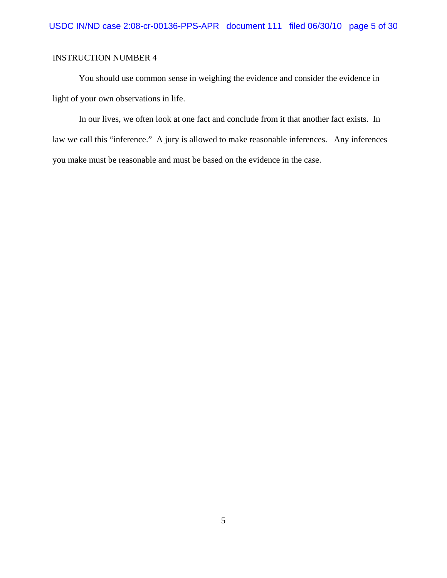You should use common sense in weighing the evidence and consider the evidence in light of your own observations in life.

In our lives, we often look at one fact and conclude from it that another fact exists. In law we call this "inference." A jury is allowed to make reasonable inferences. Any inferences you make must be reasonable and must be based on the evidence in the case.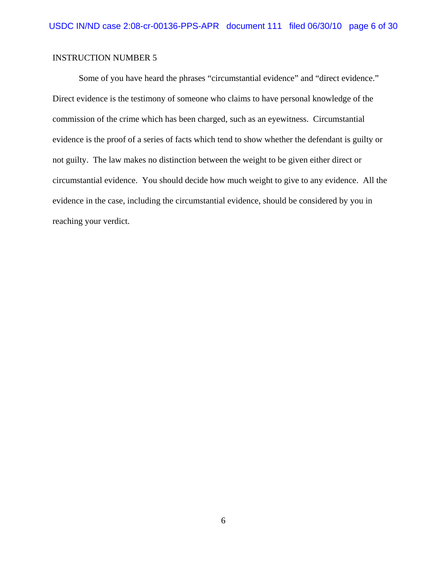Some of you have heard the phrases "circumstantial evidence" and "direct evidence." Direct evidence is the testimony of someone who claims to have personal knowledge of the commission of the crime which has been charged, such as an eyewitness. Circumstantial evidence is the proof of a series of facts which tend to show whether the defendant is guilty or not guilty. The law makes no distinction between the weight to be given either direct or circumstantial evidence. You should decide how much weight to give to any evidence. All the evidence in the case, including the circumstantial evidence, should be considered by you in reaching your verdict.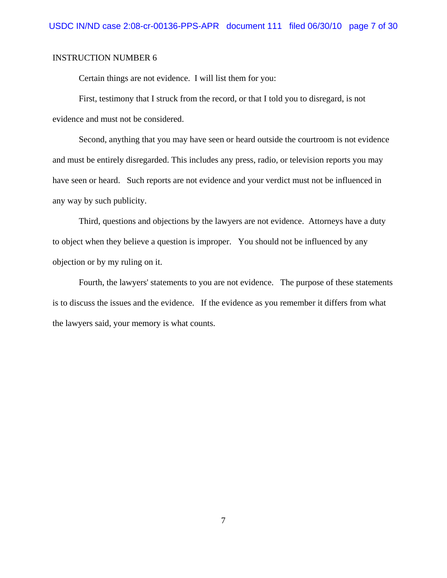Certain things are not evidence. I will list them for you:

First, testimony that I struck from the record, or that I told you to disregard, is not evidence and must not be considered.

Second, anything that you may have seen or heard outside the courtroom is not evidence and must be entirely disregarded. This includes any press, radio, or television reports you may have seen or heard. Such reports are not evidence and your verdict must not be influenced in any way by such publicity.

Third, questions and objections by the lawyers are not evidence. Attorneys have a duty to object when they believe a question is improper. You should not be influenced by any objection or by my ruling on it.

Fourth, the lawyers' statements to you are not evidence. The purpose of these statements is to discuss the issues and the evidence. If the evidence as you remember it differs from what the lawyers said, your memory is what counts.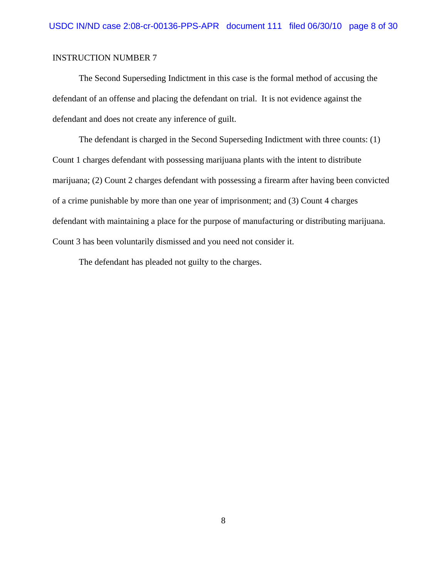The Second Superseding Indictment in this case is the formal method of accusing the defendant of an offense and placing the defendant on trial. It is not evidence against the defendant and does not create any inference of guilt.

The defendant is charged in the Second Superseding Indictment with three counts: (1) Count 1 charges defendant with possessing marijuana plants with the intent to distribute marijuana; (2) Count 2 charges defendant with possessing a firearm after having been convicted of a crime punishable by more than one year of imprisonment; and (3) Count 4 charges defendant with maintaining a place for the purpose of manufacturing or distributing marijuana. Count 3 has been voluntarily dismissed and you need not consider it.

The defendant has pleaded not guilty to the charges.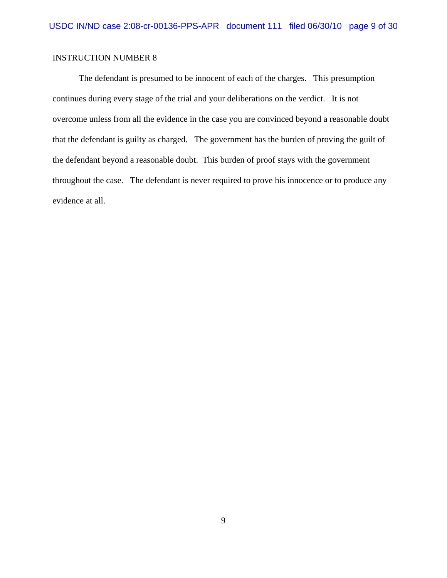The defendant is presumed to be innocent of each of the charges. This presumption continues during every stage of the trial and your deliberations on the verdict. It is not overcome unless from all the evidence in the case you are convinced beyond a reasonable doubt that the defendant is guilty as charged. The government has the burden of proving the guilt of the defendant beyond a reasonable doubt. This burden of proof stays with the government throughout the case. The defendant is never required to prove his innocence or to produce any evidence at all.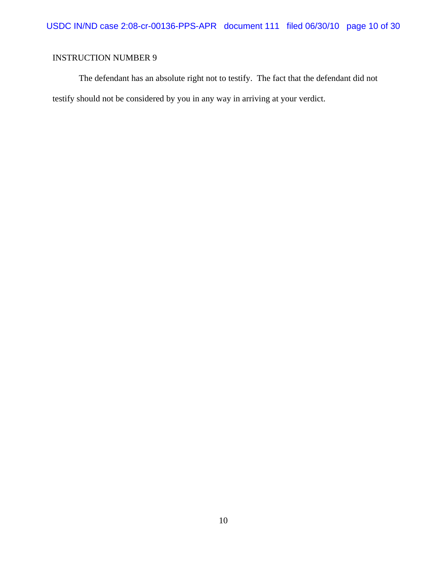The defendant has an absolute right not to testify. The fact that the defendant did not testify should not be considered by you in any way in arriving at your verdict.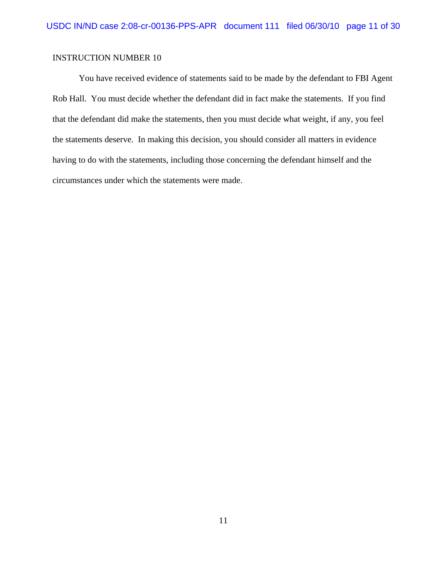You have received evidence of statements said to be made by the defendant to FBI Agent Rob Hall. You must decide whether the defendant did in fact make the statements. If you find that the defendant did make the statements, then you must decide what weight, if any, you feel the statements deserve. In making this decision, you should consider all matters in evidence having to do with the statements, including those concerning the defendant himself and the circumstances under which the statements were made.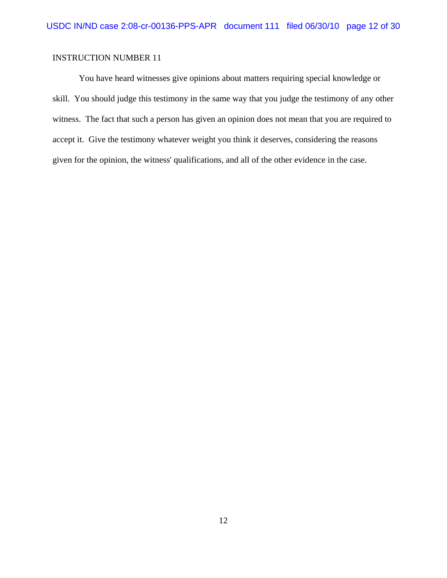You have heard witnesses give opinions about matters requiring special knowledge or skill. You should judge this testimony in the same way that you judge the testimony of any other witness. The fact that such a person has given an opinion does not mean that you are required to accept it. Give the testimony whatever weight you think it deserves, considering the reasons given for the opinion, the witness' qualifications, and all of the other evidence in the case.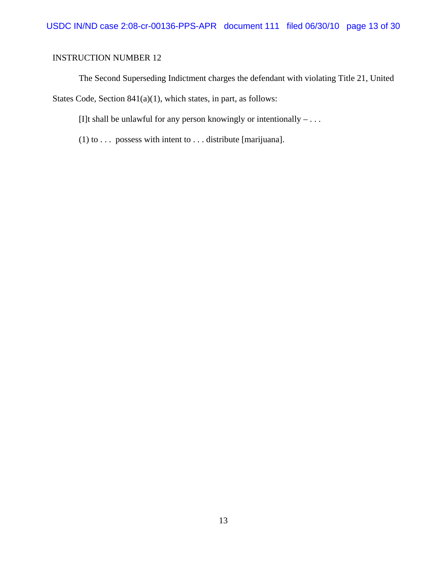The Second Superseding Indictment charges the defendant with violating Title 21, United States Code, Section 841(a)(1), which states, in part, as follows:

[I]t shall be unlawful for any person knowingly or intentionally  $- \dots$ 

(1) to . . . possess with intent to . . . distribute [marijuana].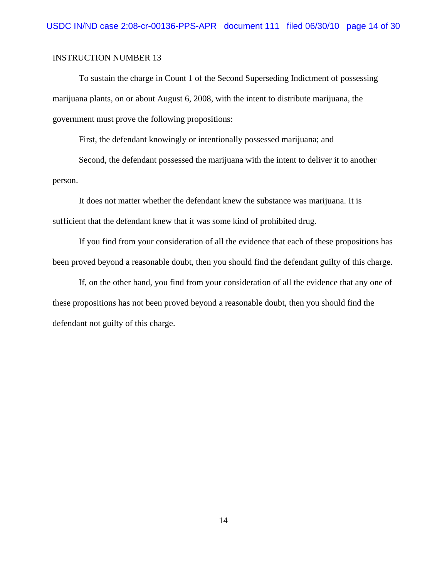To sustain the charge in Count 1 of the Second Superseding Indictment of possessing marijuana plants, on or about August 6, 2008, with the intent to distribute marijuana, the government must prove the following propositions:

First, the defendant knowingly or intentionally possessed marijuana; and

Second, the defendant possessed the marijuana with the intent to deliver it to another person.

It does not matter whether the defendant knew the substance was marijuana. It is sufficient that the defendant knew that it was some kind of prohibited drug.

If you find from your consideration of all the evidence that each of these propositions has been proved beyond a reasonable doubt, then you should find the defendant guilty of this charge.

If, on the other hand, you find from your consideration of all the evidence that any one of these propositions has not been proved beyond a reasonable doubt, then you should find the defendant not guilty of this charge.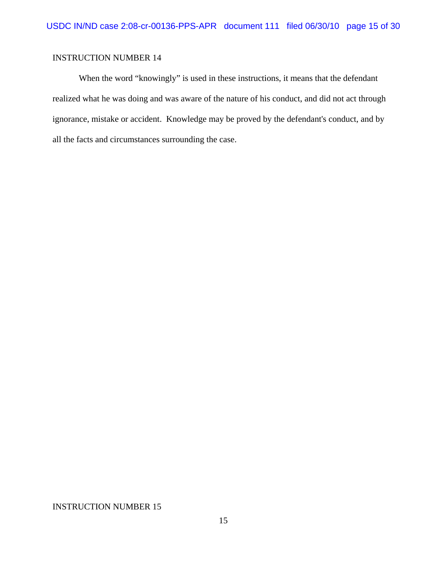When the word "knowingly" is used in these instructions, it means that the defendant realized what he was doing and was aware of the nature of his conduct, and did not act through ignorance, mistake or accident. Knowledge may be proved by the defendant's conduct, and by all the facts and circumstances surrounding the case.

INSTRUCTION NUMBER 15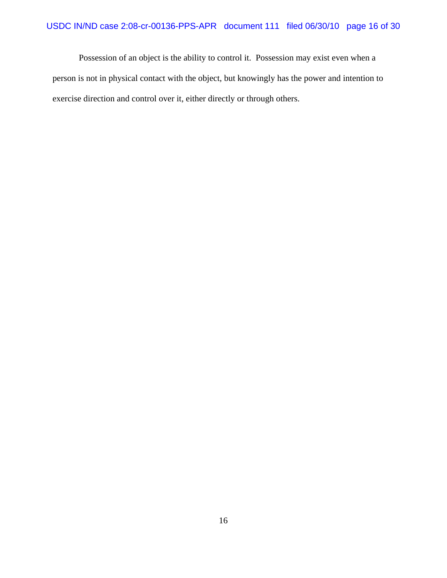Possession of an object is the ability to control it. Possession may exist even when a person is not in physical contact with the object, but knowingly has the power and intention to exercise direction and control over it, either directly or through others.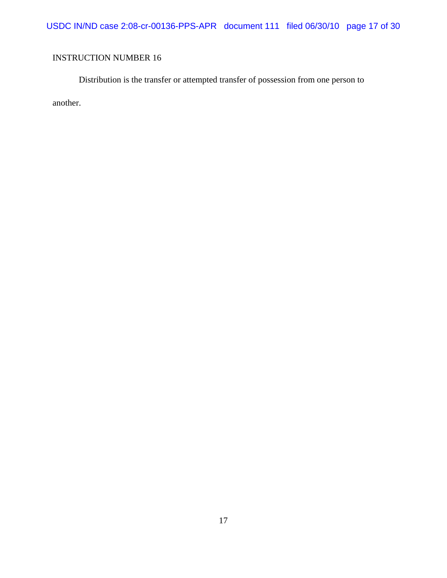Distribution is the transfer or attempted transfer of possession from one person to another.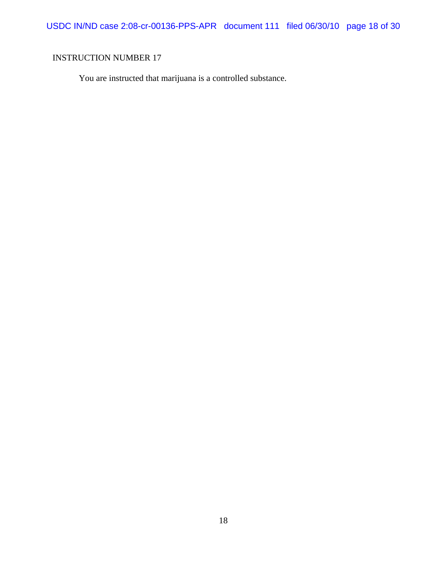You are instructed that marijuana is a controlled substance.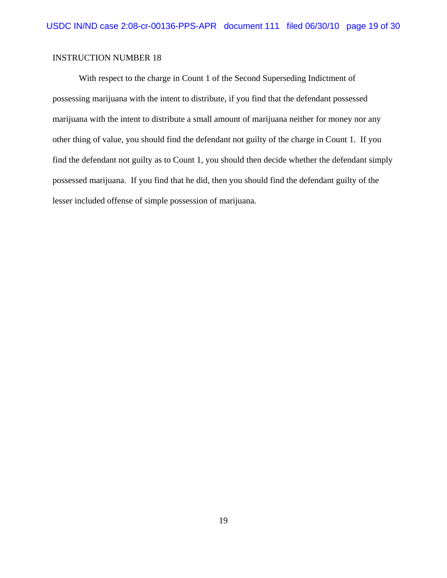With respect to the charge in Count 1 of the Second Superseding Indictment of possessing marijuana with the intent to distribute, if you find that the defendant possessed marijuana with the intent to distribute a small amount of marijuana neither for money nor any other thing of value, you should find the defendant not guilty of the charge in Count 1. If you find the defendant not guilty as to Count 1, you should then decide whether the defendant simply possessed marijuana. If you find that he did, then you should find the defendant guilty of the lesser included offense of simple possession of marijuana.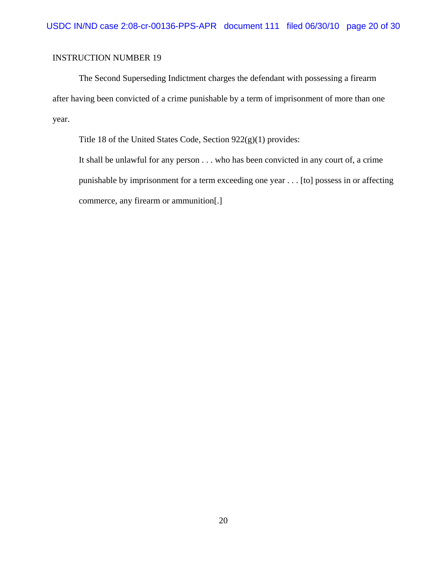The Second Superseding Indictment charges the defendant with possessing a firearm after having been convicted of a crime punishable by a term of imprisonment of more than one year.

Title 18 of the United States Code, Section 922(g)(1) provides:

It shall be unlawful for any person . . . who has been convicted in any court of, a crime punishable by imprisonment for a term exceeding one year . . . [to] possess in or affecting commerce, any firearm or ammunition[.]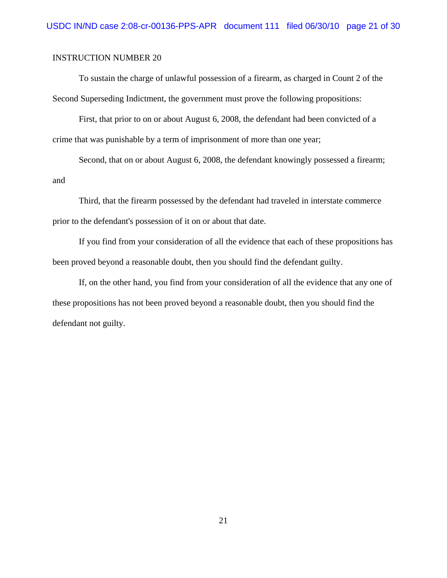To sustain the charge of unlawful possession of a firearm, as charged in Count 2 of the Second Superseding Indictment, the government must prove the following propositions:

First, that prior to on or about August 6, 2008, the defendant had been convicted of a crime that was punishable by a term of imprisonment of more than one year;

Second, that on or about August 6, 2008, the defendant knowingly possessed a firearm; and

Third, that the firearm possessed by the defendant had traveled in interstate commerce prior to the defendant's possession of it on or about that date.

If you find from your consideration of all the evidence that each of these propositions has been proved beyond a reasonable doubt, then you should find the defendant guilty.

If, on the other hand, you find from your consideration of all the evidence that any one of these propositions has not been proved beyond a reasonable doubt, then you should find the defendant not guilty.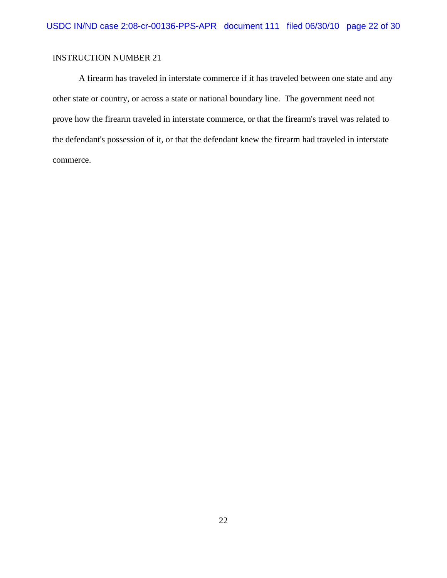A firearm has traveled in interstate commerce if it has traveled between one state and any other state or country, or across a state or national boundary line. The government need not prove how the firearm traveled in interstate commerce, or that the firearm's travel was related to the defendant's possession of it, or that the defendant knew the firearm had traveled in interstate commerce.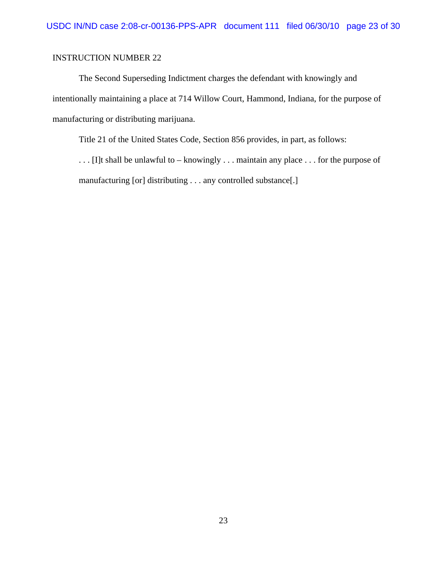The Second Superseding Indictment charges the defendant with knowingly and intentionally maintaining a place at 714 Willow Court, Hammond, Indiana, for the purpose of manufacturing or distributing marijuana.

Title 21 of the United States Code, Section 856 provides, in part, as follows:

. . . [I]t shall be unlawful to – knowingly . . . maintain any place . . . for the purpose of manufacturing [or] distributing . . . any controlled substance[.]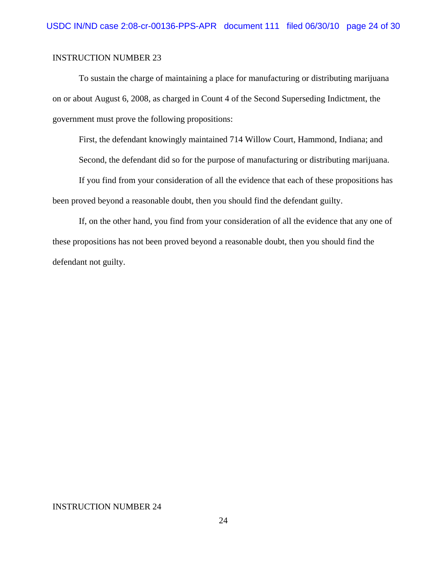To sustain the charge of maintaining a place for manufacturing or distributing marijuana on or about August 6, 2008, as charged in Count 4 of the Second Superseding Indictment, the government must prove the following propositions:

First, the defendant knowingly maintained 714 Willow Court, Hammond, Indiana; and

Second, the defendant did so for the purpose of manufacturing or distributing marijuana.

If you find from your consideration of all the evidence that each of these propositions has been proved beyond a reasonable doubt, then you should find the defendant guilty.

If, on the other hand, you find from your consideration of all the evidence that any one of these propositions has not been proved beyond a reasonable doubt, then you should find the defendant not guilty.

#### INSTRUCTION NUMBER 24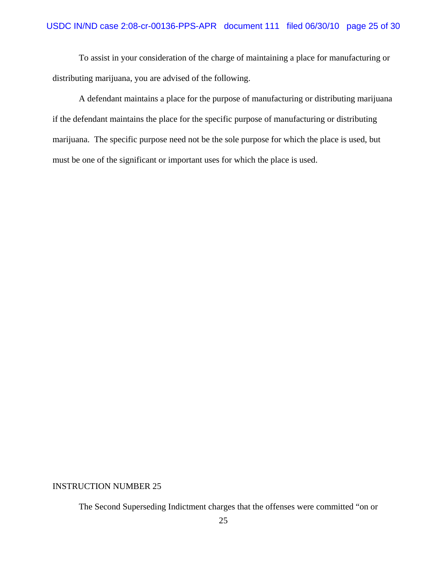To assist in your consideration of the charge of maintaining a place for manufacturing or distributing marijuana, you are advised of the following.

A defendant maintains a place for the purpose of manufacturing or distributing marijuana if the defendant maintains the place for the specific purpose of manufacturing or distributing marijuana. The specific purpose need not be the sole purpose for which the place is used, but must be one of the significant or important uses for which the place is used.

#### INSTRUCTION NUMBER 25

The Second Superseding Indictment charges that the offenses were committed "on or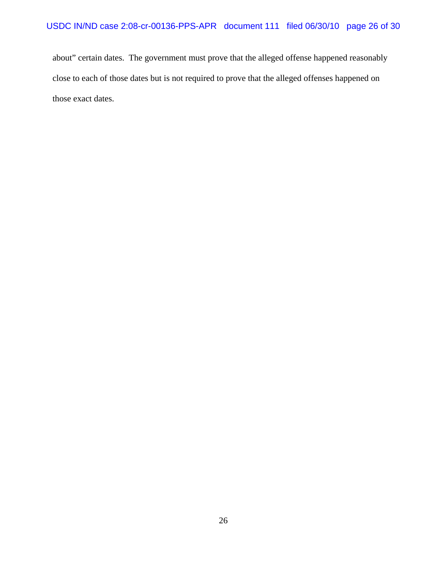about" certain dates. The government must prove that the alleged offense happened reasonably close to each of those dates but is not required to prove that the alleged offenses happened on those exact dates.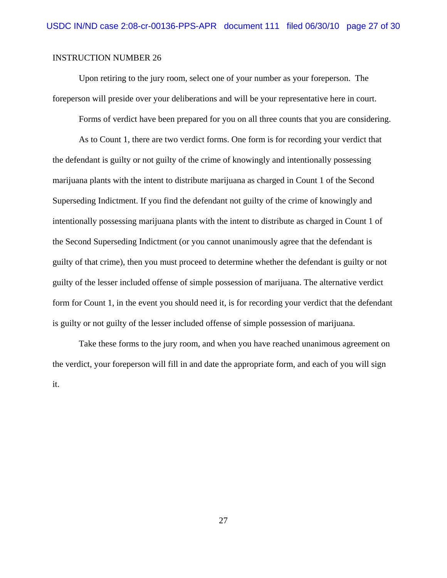Upon retiring to the jury room, select one of your number as your foreperson. The foreperson will preside over your deliberations and will be your representative here in court.

Forms of verdict have been prepared for you on all three counts that you are considering.

As to Count 1, there are two verdict forms. One form is for recording your verdict that the defendant is guilty or not guilty of the crime of knowingly and intentionally possessing marijuana plants with the intent to distribute marijuana as charged in Count 1 of the Second Superseding Indictment. If you find the defendant not guilty of the crime of knowingly and intentionally possessing marijuana plants with the intent to distribute as charged in Count 1 of the Second Superseding Indictment (or you cannot unanimously agree that the defendant is guilty of that crime), then you must proceed to determine whether the defendant is guilty or not guilty of the lesser included offense of simple possession of marijuana. The alternative verdict form for Count 1, in the event you should need it, is for recording your verdict that the defendant is guilty or not guilty of the lesser included offense of simple possession of marijuana.

Take these forms to the jury room, and when you have reached unanimous agreement on the verdict, your foreperson will fill in and date the appropriate form, and each of you will sign it.

27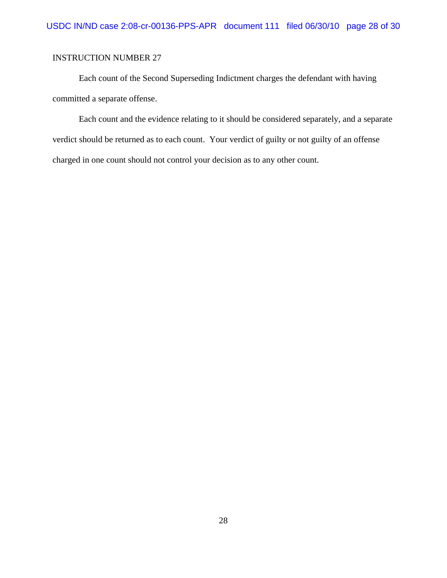Each count of the Second Superseding Indictment charges the defendant with having committed a separate offense.

Each count and the evidence relating to it should be considered separately, and a separate verdict should be returned as to each count. Your verdict of guilty or not guilty of an offense charged in one count should not control your decision as to any other count.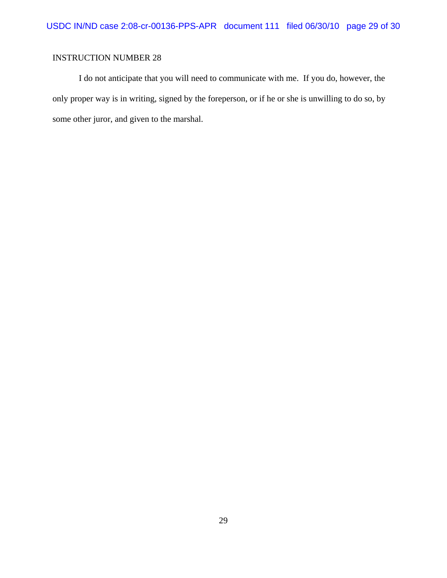I do not anticipate that you will need to communicate with me. If you do, however, the only proper way is in writing, signed by the foreperson, or if he or she is unwilling to do so, by some other juror, and given to the marshal.